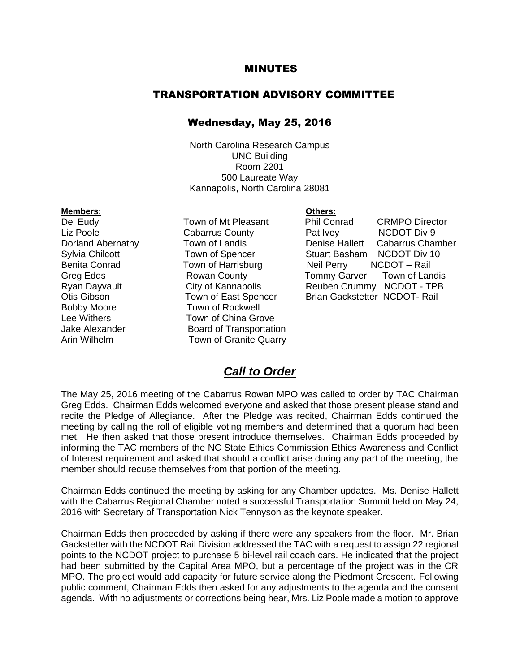#### MINUTES

#### TRANSPORTATION ADVISORY COMMITTEE

#### Wednesday, May 25, 2016

North Carolina Research Campus UNC Building Room 2201 500 Laureate Way Kannapolis, North Carolina 28081

Bobby Moore Town of Rockwell

**Members: Others:** Liz Poole **Cabarrus County** Pat Ivey Lee Withers **Town of China Grove** Jake Alexander **Board of Transportation** Arin Wilhelm Town of Granite Quarry

Del Eudy Town of Mt Pleasant Phil Conrad CRMPO Director Dorland Abernathy Town of Landis Denise Hallett Cabarrus Chamber Sylvia Chilcott **Town of Spencer** Stuart Basham NCDOT Div 10 Benita Conrad Town of Harrisburg Neil Perry NCDOT – Rail Greg Edds **Rowan County Tommy Garver Town of Landis** Ryan Dayvault City of Kannapolis Reuben Crummy NCDOT - TPB Otis Gibson Town of East Spencer Brian Gackstetter NCDOT- Rail

### *Call to Order*

The May 25, 2016 meeting of the Cabarrus Rowan MPO was called to order by TAC Chairman Greg Edds. Chairman Edds welcomed everyone and asked that those present please stand and recite the Pledge of Allegiance. After the Pledge was recited, Chairman Edds continued the meeting by calling the roll of eligible voting members and determined that a quorum had been met. He then asked that those present introduce themselves. Chairman Edds proceeded by informing the TAC members of the NC State Ethics Commission Ethics Awareness and Conflict of Interest requirement and asked that should a conflict arise during any part of the meeting, the member should recuse themselves from that portion of the meeting.

Chairman Edds continued the meeting by asking for any Chamber updates. Ms. Denise Hallett with the Cabarrus Regional Chamber noted a successful Transportation Summit held on May 24, 2016 with Secretary of Transportation Nick Tennyson as the keynote speaker.

Chairman Edds then proceeded by asking if there were any speakers from the floor. Mr. Brian Gackstetter with the NCDOT Rail Division addressed the TAC with a request to assign 22 regional points to the NCDOT project to purchase 5 bi-level rail coach cars. He indicated that the project had been submitted by the Capital Area MPO, but a percentage of the project was in the CR MPO. The project would add capacity for future service along the Piedmont Crescent. Following public comment, Chairman Edds then asked for any adjustments to the agenda and the consent agenda. With no adjustments or corrections being hear, Mrs. Liz Poole made a motion to approve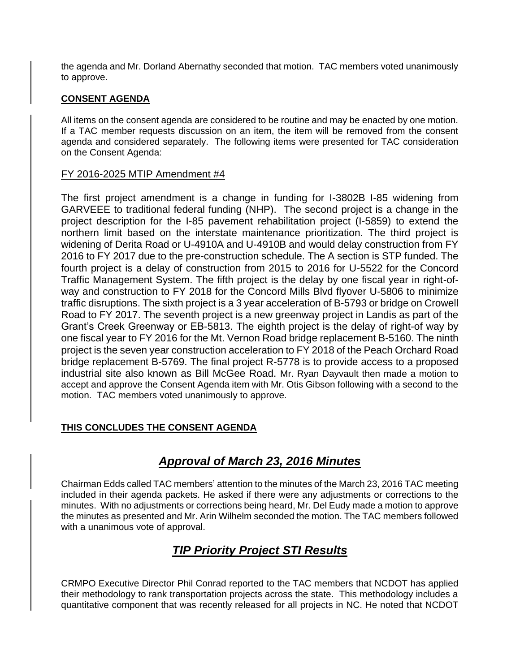the agenda and Mr. Dorland Abernathy seconded that motion. TAC members voted unanimously to approve.

### **CONSENT AGENDA**

All items on the consent agenda are considered to be routine and may be enacted by one motion. If a TAC member requests discussion on an item, the item will be removed from the consent agenda and considered separately. The following items were presented for TAC consideration on the Consent Agenda:

### FY 2016-2025 MTIP Amendment #4

The first project amendment is a change in funding for I-3802B I-85 widening from GARVEEE to traditional federal funding (NHP). The second project is a change in the project description for the I-85 pavement rehabilitation project (I-5859) to extend the northern limit based on the interstate maintenance prioritization. The third project is widening of Derita Road or U-4910A and U-4910B and would delay construction from FY 2016 to FY 2017 due to the pre-construction schedule. The A section is STP funded. The fourth project is a delay of construction from 2015 to 2016 for U-5522 for the Concord Traffic Management System. The fifth project is the delay by one fiscal year in right-ofway and construction to FY 2018 for the Concord Mills Blvd flyover U-5806 to minimize traffic disruptions. The sixth project is a 3 year acceleration of B-5793 or bridge on Crowell Road to FY 2017. The seventh project is a new greenway project in Landis as part of the Grant's Creek Greenway or EB-5813. The eighth project is the delay of right-of way by one fiscal year to FY 2016 for the Mt. Vernon Road bridge replacement B-5160. The ninth project is the seven year construction acceleration to FY 2018 of the Peach Orchard Road bridge replacement B-5769. The final project R-5778 is to provide access to a proposed industrial site also known as Bill McGee Road. Mr. Ryan Dayvault then made a motion to accept and approve the Consent Agenda item with Mr. Otis Gibson following with a second to the motion. TAC members voted unanimously to approve.

### **THIS CONCLUDES THE CONSENT AGENDA**

## *Approval of March 23, 2016 Minutes*

Chairman Edds called TAC members' attention to the minutes of the March 23, 2016 TAC meeting included in their agenda packets. He asked if there were any adjustments or corrections to the minutes. With no adjustments or corrections being heard, Mr. Del Eudy made a motion to approve the minutes as presented and Mr. Arin Wilhelm seconded the motion. The TAC members followed with a unanimous vote of approval.

## *TIP Priority Project STI Results*

CRMPO Executive Director Phil Conrad reported to the TAC members that NCDOT has applied their methodology to rank transportation projects across the state. This methodology includes a quantitative component that was recently released for all projects in NC. He noted that NCDOT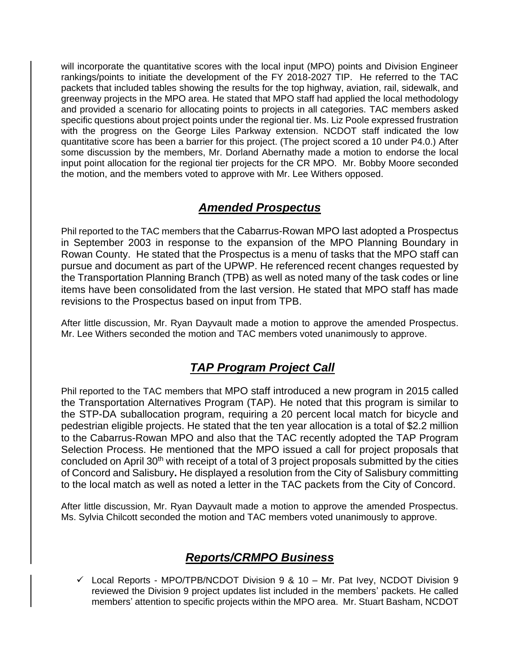will incorporate the quantitative scores with the local input (MPO) points and Division Engineer rankings/points to initiate the development of the FY 2018-2027 TIP. He referred to the TAC packets that included tables showing the results for the top highway, aviation, rail, sidewalk, and greenway projects in the MPO area. He stated that MPO staff had applied the local methodology and provided a scenario for allocating points to projects in all categories. TAC members asked specific questions about project points under the regional tier. Ms. Liz Poole expressed frustration with the progress on the George Liles Parkway extension. NCDOT staff indicated the low quantitative score has been a barrier for this project. (The project scored a 10 under P4.0.) After some discussion by the members, Mr. Dorland Abernathy made a motion to endorse the local input point allocation for the regional tier projects for the CR MPO. Mr. Bobby Moore seconded the motion, and the members voted to approve with Mr. Lee Withers opposed.

## *Amended Prospectus*

Phil reported to the TAC members that the Cabarrus-Rowan MPO last adopted a Prospectus in September 2003 in response to the expansion of the MPO Planning Boundary in Rowan County. He stated that the Prospectus is a menu of tasks that the MPO staff can pursue and document as part of the UPWP. He referenced recent changes requested by the Transportation Planning Branch (TPB) as well as noted many of the task codes or line items have been consolidated from the last version. He stated that MPO staff has made revisions to the Prospectus based on input from TPB.

After little discussion, Mr. Ryan Dayvault made a motion to approve the amended Prospectus. Mr. Lee Withers seconded the motion and TAC members voted unanimously to approve.

# *TAP Program Project Call*

Phil reported to the TAC members that MPO staff introduced a new program in 2015 called the Transportation Alternatives Program (TAP). He noted that this program is similar to the STP-DA suballocation program, requiring a 20 percent local match for bicycle and pedestrian eligible projects. He stated that the ten year allocation is a total of \$2.2 million to the Cabarrus-Rowan MPO and also that the TAC recently adopted the TAP Program Selection Process. He mentioned that the MPO issued a call for project proposals that concluded on April 30<sup>th</sup> with receipt of a total of 3 project proposals submitted by the cities of Concord and Salisbury**.** He displayed a resolution from the City of Salisbury committing to the local match as well as noted a letter in the TAC packets from the City of Concord.

After little discussion, Mr. Ryan Dayvault made a motion to approve the amended Prospectus. Ms. Sylvia Chilcott seconded the motion and TAC members voted unanimously to approve.

## *Reports/CRMPO Business*

 $\checkmark$  Local Reports - MPO/TPB/NCDOT Division 9 & 10 – Mr. Pat Ivey, NCDOT Division 9 reviewed the Division 9 project updates list included in the members' packets. He called members' attention to specific projects within the MPO area. Mr. Stuart Basham, NCDOT